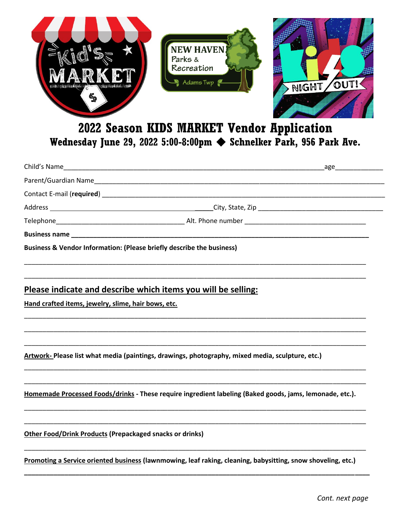

## 2022 Season KIDS MARKET Vendor Application Wednesday June 29, 2022 5:00-8:00pm Schnelker Park, 956 Park Ave.

| Business & Vendor Information: (Please briefly describe the business)                                    |
|----------------------------------------------------------------------------------------------------------|
|                                                                                                          |
| Please indicate and describe which items you will be selling:                                            |
| Hand crafted items, jewelry, slime, hair bows, etc.                                                      |
|                                                                                                          |
|                                                                                                          |
| Artwork-Please list what media (paintings, drawings, photography, mixed media, sculpture, etc.)          |
|                                                                                                          |
| Homemade Processed Foods/drinks - These require ingredient labeling (Baked goods, jams, lemonade, etc.). |
|                                                                                                          |
| <b>Other Food/Drink Products (Prepackaged snacks or drinks)</b>                                          |
|                                                                                                          |
|                                                                                                          |